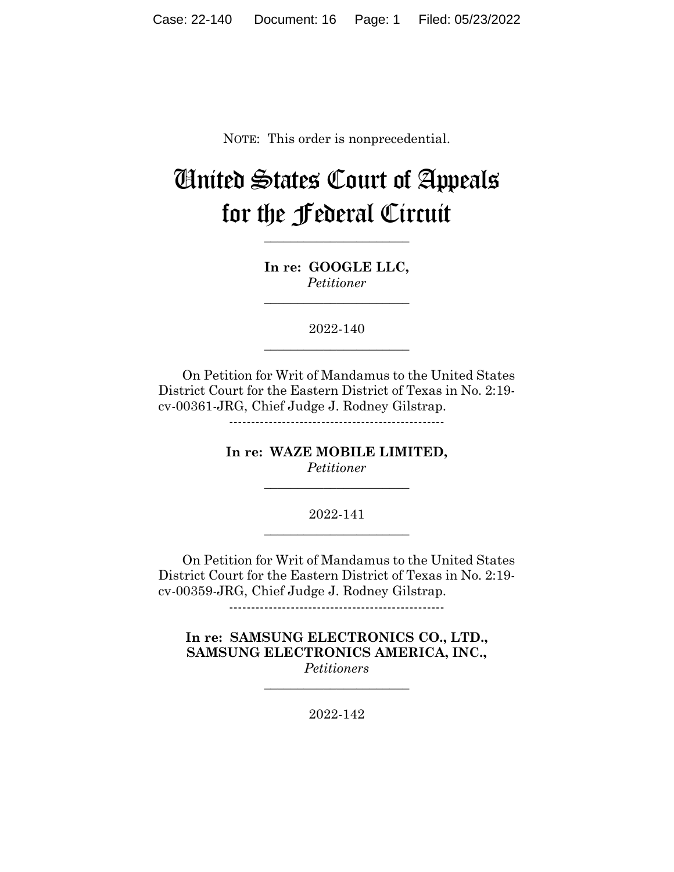NOTE: This order is nonprecedential.

# United States Court of Appeals for the Federal Circuit

**In re: GOOGLE LLC,** *Petitioner*

**\_\_\_\_\_\_\_\_\_\_\_\_\_\_\_\_\_\_\_\_\_\_**

**\_\_\_\_\_\_\_\_\_\_\_\_\_\_\_\_\_\_\_\_\_\_**

2022-140 **\_\_\_\_\_\_\_\_\_\_\_\_\_\_\_\_\_\_\_\_\_\_**

On Petition for Writ of Mandamus to the United States District Court for the Eastern District of Texas in No. 2:19 cv-00361-JRG, Chief Judge J. Rodney Gilstrap.

-------------------------------------------------

**In re: WAZE MOBILE LIMITED,** *Petitioner*

**\_\_\_\_\_\_\_\_\_\_\_\_\_\_\_\_\_\_\_\_\_\_**

2022-141 **\_\_\_\_\_\_\_\_\_\_\_\_\_\_\_\_\_\_\_\_\_\_**

On Petition for Writ of Mandamus to the United States District Court for the Eastern District of Texas in No. 2:19 cv-00359-JRG, Chief Judge J. Rodney Gilstrap.

-------------------------------------------------

**In re: SAMSUNG ELECTRONICS CO., LTD., SAMSUNG ELECTRONICS AMERICA, INC.,** *Petitioners*

2022-142

**\_\_\_\_\_\_\_\_\_\_\_\_\_\_\_\_\_\_\_\_\_\_**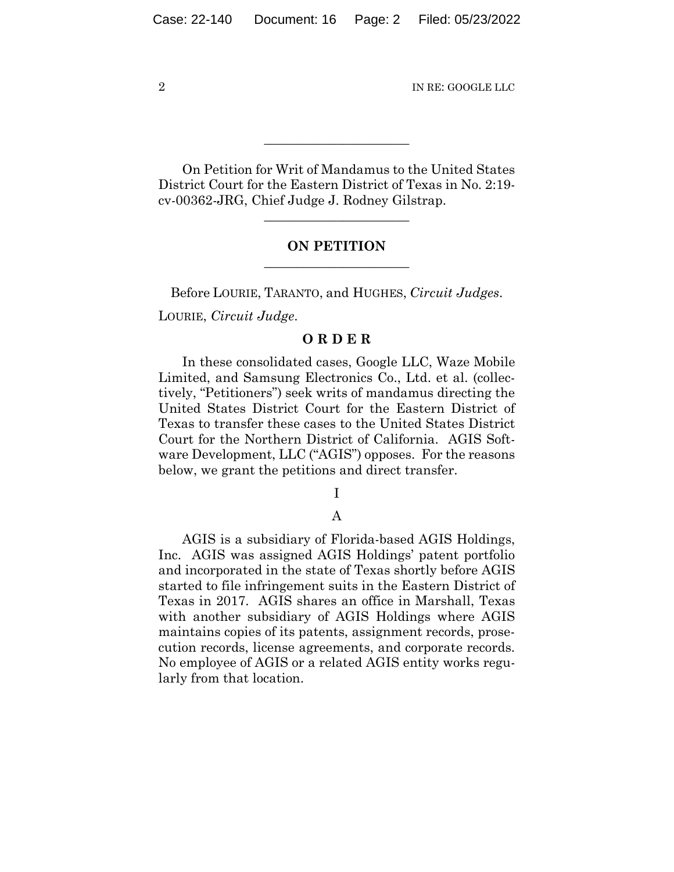On Petition for Writ of Mandamus to the United States District Court for the Eastern District of Texas in No. 2:19 cv-00362-JRG, Chief Judge J. Rodney Gilstrap.

**\_\_\_\_\_\_\_\_\_\_\_\_\_\_\_\_\_\_\_\_\_\_**

## **ON PETITION \_\_\_\_\_\_\_\_\_\_\_\_\_\_\_\_\_\_\_\_\_\_**

**\_\_\_\_\_\_\_\_\_\_\_\_\_\_\_\_\_\_\_\_\_\_**

Before LOURIE, TARANTO, and HUGHES, *Circuit Judges*.

LOURIE, *Circuit Judge*.

## **O R D E R**

In these consolidated cases, Google LLC, Waze Mobile Limited, and Samsung Electronics Co., Ltd. et al. (collectively, "Petitioners") seek writs of mandamus directing the United States District Court for the Eastern District of Texas to transfer these cases to the United States District Court for the Northern District of California. AGIS Software Development, LLC ("AGIS") opposes. For the reasons below, we grant the petitions and direct transfer.

I

# A

AGIS is a subsidiary of Florida-based AGIS Holdings, Inc. AGIS was assigned AGIS Holdings' patent portfolio and incorporated in the state of Texas shortly before AGIS started to file infringement suits in the Eastern District of Texas in 2017. AGIS shares an office in Marshall, Texas with another subsidiary of AGIS Holdings where AGIS maintains copies of its patents, assignment records, prosecution records, license agreements, and corporate records. No employee of AGIS or a related AGIS entity works regularly from that location.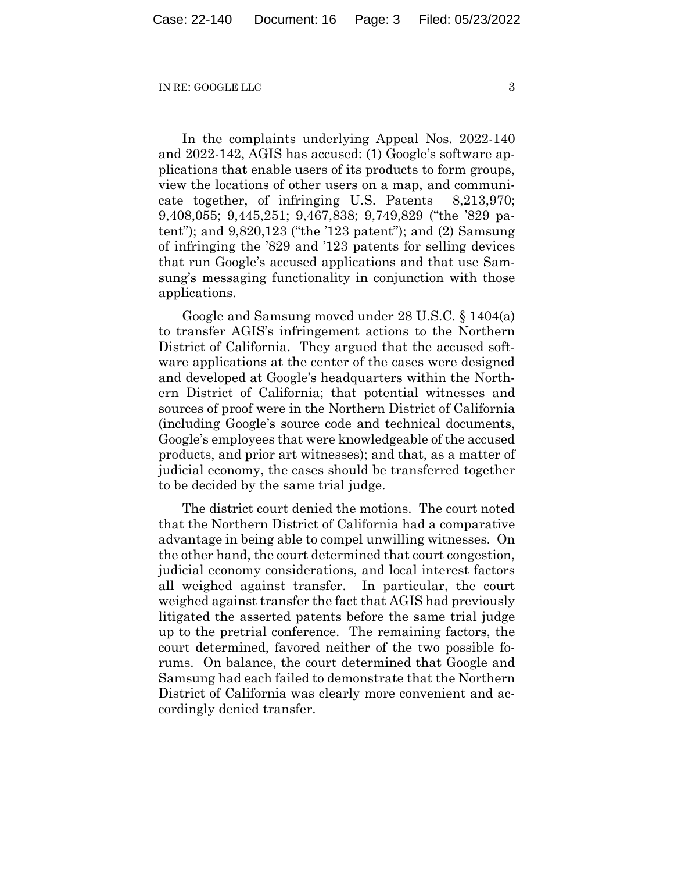In the complaints underlying Appeal Nos. 2022-140 and 2022-142, AGIS has accused: (1) Google's software applications that enable users of its products to form groups, view the locations of other users on a map, and communicate together, of infringing U.S. Patents 8,213,970; 9,408,055; 9,445,251; 9,467,838; 9,749,829 ("the '829 patent"); and 9,820,123 ("the '123 patent"); and (2) Samsung of infringing the '829 and '123 patents for selling devices that run Google's accused applications and that use Samsung's messaging functionality in conjunction with those applications.

Google and Samsung moved under 28 U.S.C. § 1404(a) to transfer AGIS's infringement actions to the Northern District of California. They argued that the accused software applications at the center of the cases were designed and developed at Google's headquarters within the Northern District of California; that potential witnesses and sources of proof were in the Northern District of California (including Google's source code and technical documents, Google's employees that were knowledgeable of the accused products, and prior art witnesses); and that, as a matter of judicial economy, the cases should be transferred together to be decided by the same trial judge.

The district court denied the motions. The court noted that the Northern District of California had a comparative advantage in being able to compel unwilling witnesses. On the other hand, the court determined that court congestion, judicial economy considerations, and local interest factors all weighed against transfer. In particular, the court weighed against transfer the fact that AGIS had previously litigated the asserted patents before the same trial judge up to the pretrial conference. The remaining factors, the court determined, favored neither of the two possible forums. On balance, the court determined that Google and Samsung had each failed to demonstrate that the Northern District of California was clearly more convenient and accordingly denied transfer.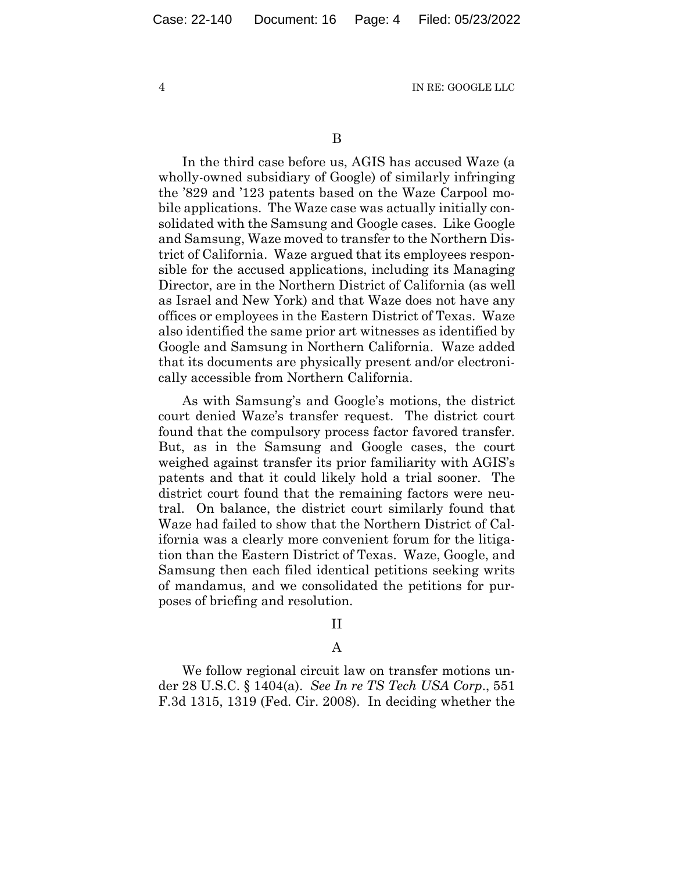B

In the third case before us, AGIS has accused Waze (a wholly-owned subsidiary of Google) of similarly infringing the '829 and '123 patents based on the Waze Carpool mobile applications. The Waze case was actually initially consolidated with the Samsung and Google cases. Like Google and Samsung, Waze moved to transfer to the Northern District of California. Waze argued that its employees responsible for the accused applications, including its Managing Director, are in the Northern District of California (as well as Israel and New York) and that Waze does not have any offices or employees in the Eastern District of Texas. Waze also identified the same prior art witnesses as identified by Google and Samsung in Northern California. Waze added that its documents are physically present and/or electronically accessible from Northern California.

As with Samsung's and Google's motions, the district court denied Waze's transfer request. The district court found that the compulsory process factor favored transfer. But, as in the Samsung and Google cases, the court weighed against transfer its prior familiarity with AGIS's patents and that it could likely hold a trial sooner. The district court found that the remaining factors were neutral. On balance, the district court similarly found that Waze had failed to show that the Northern District of California was a clearly more convenient forum for the litigation than the Eastern District of Texas. Waze, Google, and Samsung then each filed identical petitions seeking writs of mandamus, and we consolidated the petitions for purposes of briefing and resolution.

### II

## A

We follow regional circuit law on transfer motions under 28 U.S.C. § 1404(a). *See In re TS Tech USA Corp*., 551 F.3d 1315, 1319 (Fed. Cir. 2008). In deciding whether the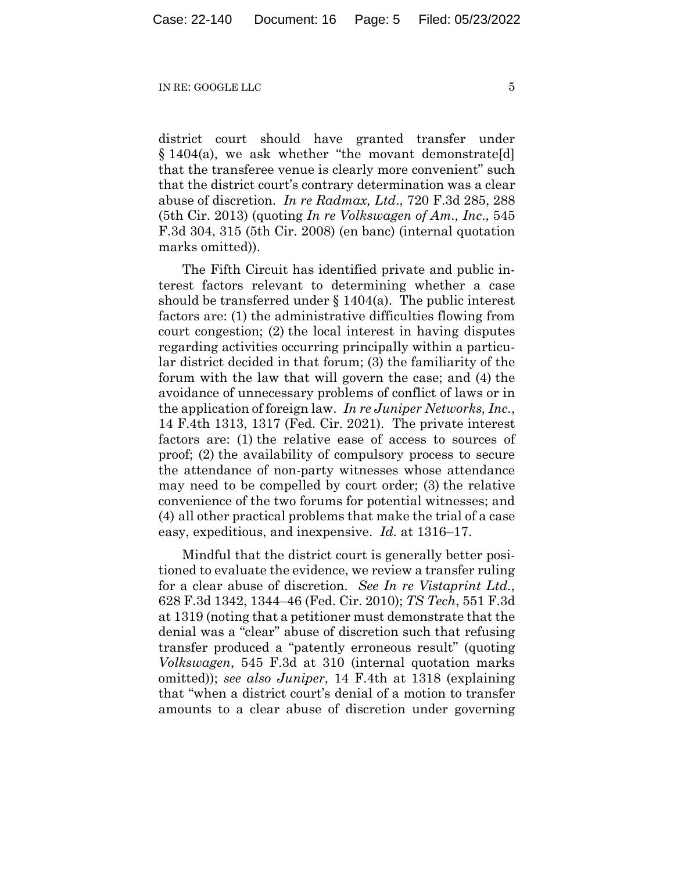district court should have granted transfer under § 1404(a), we ask whether "the movant demonstrate[d] that the transferee venue is clearly more convenient" such that the district court's contrary determination was a clear abuse of discretion. *In re Radmax, Ltd*., 720 F.3d 285, 288 (5th Cir. 2013) (quoting *In re Volkswagen of Am., Inc*., 545 F.3d 304, 315 (5th Cir. 2008) (en banc) (internal quotation marks omitted)).

The Fifth Circuit has identified private and public interest factors relevant to determining whether a case should be transferred under  $\S 1404(a)$ . The public interest factors are: (1) the administrative difficulties flowing from court congestion; (2) the local interest in having disputes regarding activities occurring principally within a particular district decided in that forum; (3) the familiarity of the forum with the law that will govern the case; and (4) the avoidance of unnecessary problems of conflict of laws or in the application of foreign law. *In re Juniper Networks, Inc.*, 14 F.4th 1313, 1317 (Fed. Cir. 2021). The private interest factors are: (1) the relative ease of access to sources of proof; (2) the availability of compulsory process to secure the attendance of non-party witnesses whose attendance may need to be compelled by court order; (3) the relative convenience of the two forums for potential witnesses; and (4) all other practical problems that make the trial of a case easy, expeditious, and inexpensive. *Id.* at 1316–17.

Mindful that the district court is generally better positioned to evaluate the evidence, we review a transfer ruling for a clear abuse of discretion. *See In re Vistaprint Ltd.*, 628 F.3d 1342, 1344–46 (Fed. Cir. 2010); *TS Tech*, 551 F.3d at 1319 (noting that a petitioner must demonstrate that the denial was a "clear" abuse of discretion such that refusing transfer produced a "patently erroneous result" (quoting *Volkswagen*, 545 F.3d at 310 (internal quotation marks omitted)); *see also Juniper*, 14 F.4th at 1318 (explaining that "when a district court's denial of a motion to transfer amounts to a clear abuse of discretion under governing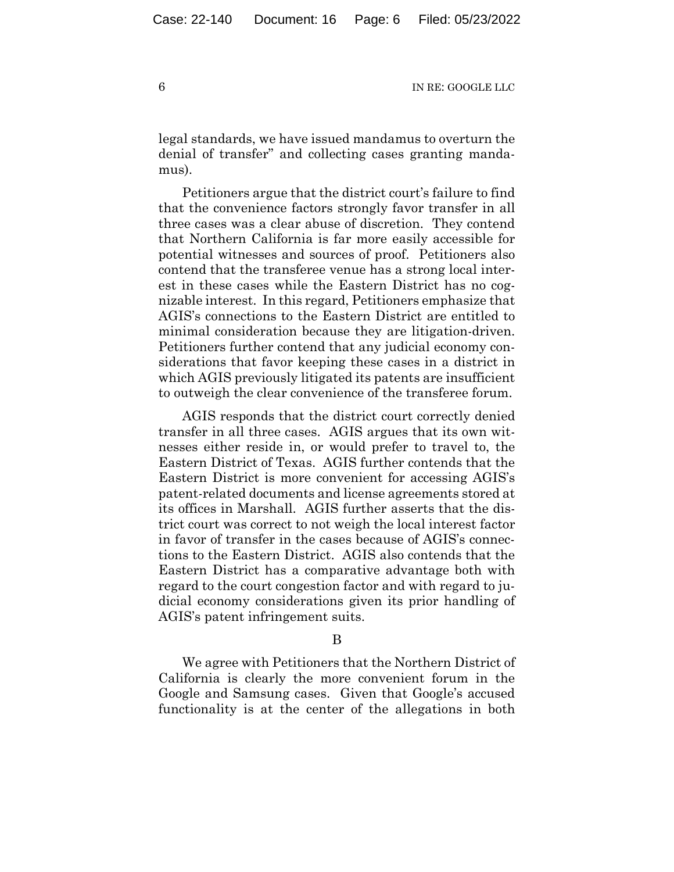legal standards, we have issued mandamus to overturn the denial of transfer" and collecting cases granting mandamus).

Petitioners argue that the district court's failure to find that the convenience factors strongly favor transfer in all three cases was a clear abuse of discretion. They contend that Northern California is far more easily accessible for potential witnesses and sources of proof. Petitioners also contend that the transferee venue has a strong local interest in these cases while the Eastern District has no cognizable interest. In this regard, Petitioners emphasize that AGIS's connections to the Eastern District are entitled to minimal consideration because they are litigation-driven. Petitioners further contend that any judicial economy considerations that favor keeping these cases in a district in which AGIS previously litigated its patents are insufficient to outweigh the clear convenience of the transferee forum.

AGIS responds that the district court correctly denied transfer in all three cases. AGIS argues that its own witnesses either reside in, or would prefer to travel to, the Eastern District of Texas. AGIS further contends that the Eastern District is more convenient for accessing AGIS's patent-related documents and license agreements stored at its offices in Marshall. AGIS further asserts that the district court was correct to not weigh the local interest factor in favor of transfer in the cases because of AGIS's connections to the Eastern District. AGIS also contends that the Eastern District has a comparative advantage both with regard to the court congestion factor and with regard to judicial economy considerations given its prior handling of AGIS's patent infringement suits.

### B

We agree with Petitioners that the Northern District of California is clearly the more convenient forum in the Google and Samsung cases. Given that Google's accused functionality is at the center of the allegations in both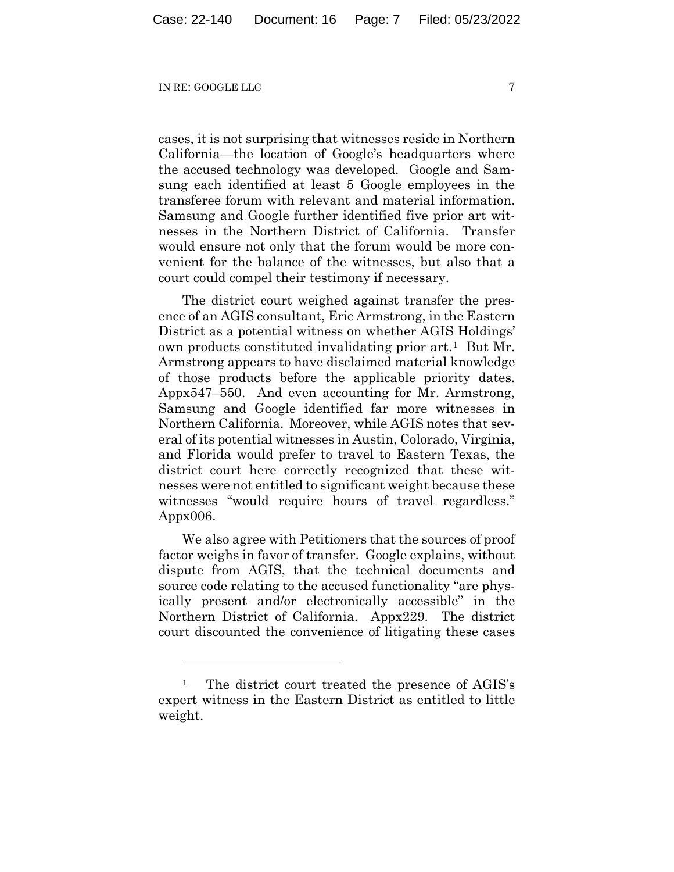cases, it is not surprising that witnesses reside in Northern California—the location of Google's headquarters where the accused technology was developed. Google and Samsung each identified at least 5 Google employees in the transferee forum with relevant and material information. Samsung and Google further identified five prior art witnesses in the Northern District of California. Transfer would ensure not only that the forum would be more convenient for the balance of the witnesses, but also that a court could compel their testimony if necessary.

The district court weighed against transfer the presence of an AGIS consultant, Eric Armstrong, in the Eastern District as a potential witness on whether AGIS Holdings' own products constituted invalidating prior art.[1](#page-6-0) But Mr. Armstrong appears to have disclaimed material knowledge of those products before the applicable priority dates. Appx547–550. And even accounting for Mr. Armstrong, Samsung and Google identified far more witnesses in Northern California. Moreover, while AGIS notes that several of its potential witnesses in Austin, Colorado, Virginia, and Florida would prefer to travel to Eastern Texas, the district court here correctly recognized that these witnesses were not entitled to significant weight because these witnesses "would require hours of travel regardless." Appx006.

We also agree with Petitioners that the sources of proof factor weighs in favor of transfer. Google explains, without dispute from AGIS, that the technical documents and source code relating to the accused functionality "are physically present and/or electronically accessible" in the Northern District of California. Appx229. The district court discounted the convenience of litigating these cases

<span id="page-6-0"></span><sup>&</sup>lt;sup>1</sup> The district court treated the presence of AGIS's expert witness in the Eastern District as entitled to little weight.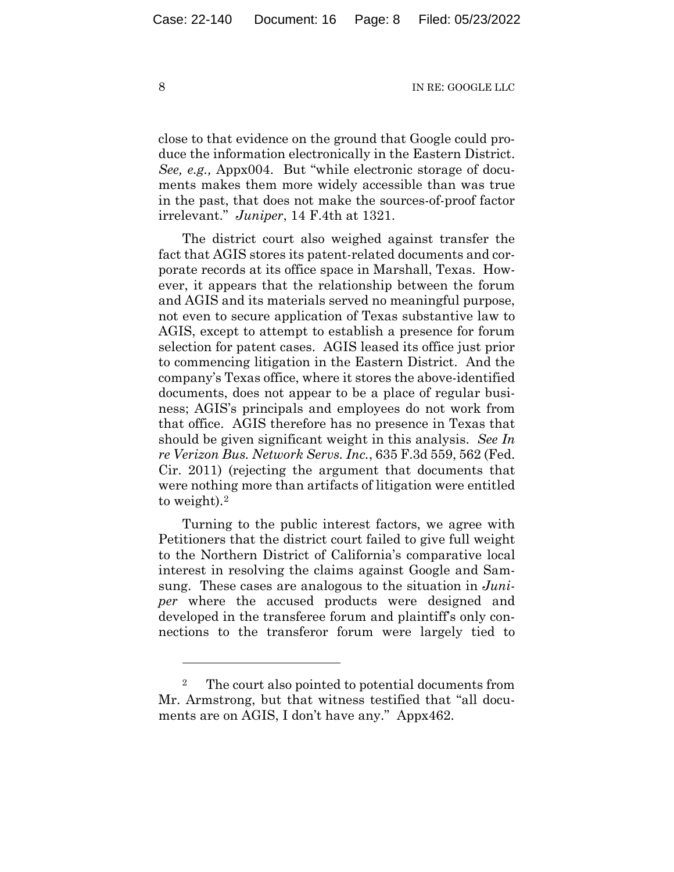close to that evidence on the ground that Google could produce the information electronically in the Eastern District. *See, e.g.,* Appx004. But "while electronic storage of documents makes them more widely accessible than was true in the past, that does not make the sources-of-proof factor irrelevant." *Juniper*, 14 F.4th at 1321.

The district court also weighed against transfer the fact that AGIS stores its patent-related documents and corporate records at its office space in Marshall, Texas. However, it appears that the relationship between the forum and AGIS and its materials served no meaningful purpose, not even to secure application of Texas substantive law to AGIS, except to attempt to establish a presence for forum selection for patent cases. AGIS leased its office just prior to commencing litigation in the Eastern District. And the company's Texas office, where it stores the above-identified documents, does not appear to be a place of regular business; AGIS's principals and employees do not work from that office. AGIS therefore has no presence in Texas that should be given significant weight in this analysis. *See In re Verizon Bus. Network Servs. Inc.*, 635 F.3d 559, 562 (Fed. Cir. 2011) (rejecting the argument that documents that were nothing more than artifacts of litigation were entitled to weight)[.2](#page-7-0) 

Turning to the public interest factors, we agree with Petitioners that the district court failed to give full weight to the Northern District of California's comparative local interest in resolving the claims against Google and Samsung. These cases are analogous to the situation in *Juniper* where the accused products were designed and developed in the transferee forum and plaintiff's only connections to the transferor forum were largely tied to

<span id="page-7-0"></span><sup>2</sup> The court also pointed to potential documents from Mr. Armstrong, but that witness testified that "all documents are on AGIS, I don't have any." Appx462.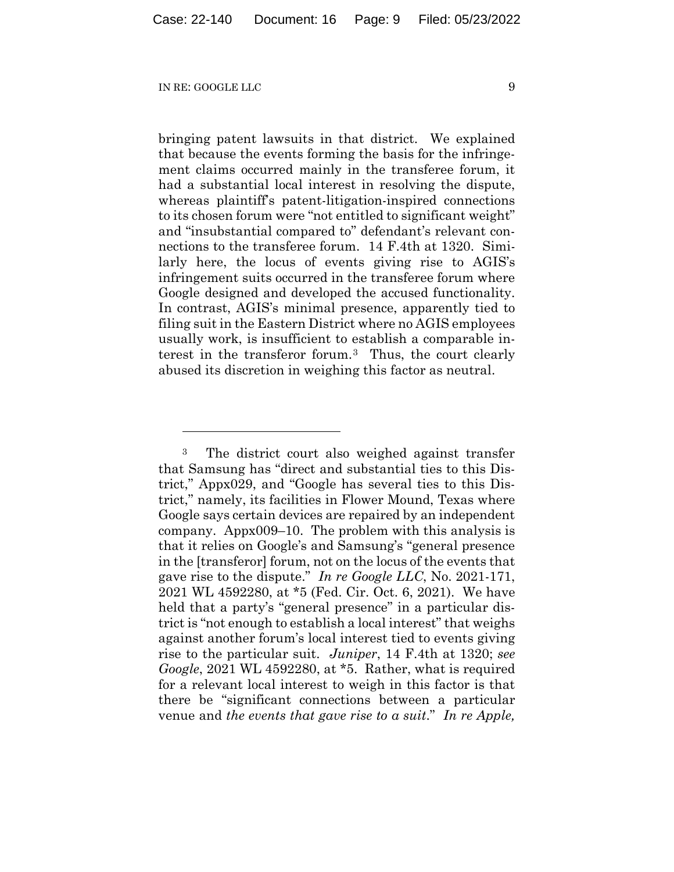bringing patent lawsuits in that district. We explained that because the events forming the basis for the infringement claims occurred mainly in the transferee forum, it had a substantial local interest in resolving the dispute, whereas plaintiff's patent-litigation-inspired connections to its chosen forum were "not entitled to significant weight" and "insubstantial compared to" defendant's relevant connections to the transferee forum. 14 F.4th at 1320. Similarly here, the locus of events giving rise to AGIS's infringement suits occurred in the transferee forum where Google designed and developed the accused functionality. In contrast, AGIS's minimal presence, apparently tied to filing suit in the Eastern District where no AGIS employees usually work, is insufficient to establish a comparable interest in the transferor forum.[3](#page-8-0) Thus, the court clearly abused its discretion in weighing this factor as neutral.

<span id="page-8-0"></span><sup>3</sup> The district court also weighed against transfer that Samsung has "direct and substantial ties to this District," Appx029, and "Google has several ties to this District," namely, its facilities in Flower Mound, Texas where Google says certain devices are repaired by an independent company. Appx009–10. The problem with this analysis is that it relies on Google's and Samsung's "general presence in the [transferor] forum, not on the locus of the events that gave rise to the dispute." *In re Google LLC*, No. 2021-171, 2021 WL 4592280, at \*5 (Fed. Cir. Oct. 6, 2021). We have held that a party's "general presence" in a particular district is "not enough to establish a local interest" that weighs against another forum's local interest tied to events giving rise to the particular suit. *Juniper*, 14 F.4th at 1320; *see Google*, 2021 WL 4592280, at \*5. Rather, what is required for a relevant local interest to weigh in this factor is that there be "significant connections between a particular venue and *the events that gave rise to a suit*." *In re Apple,*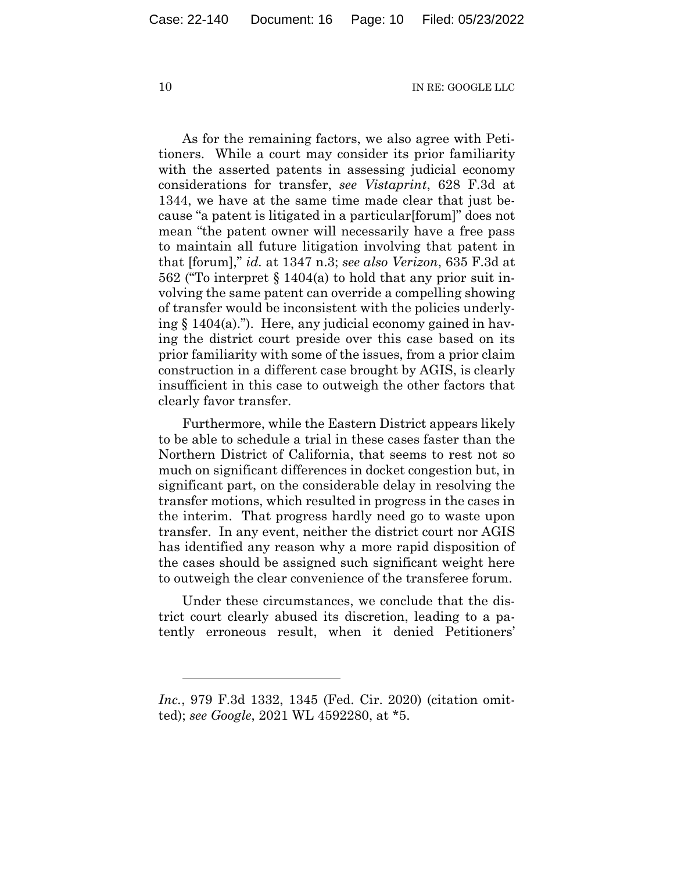As for the remaining factors, we also agree with Petitioners. While a court may consider its prior familiarity with the asserted patents in assessing judicial economy considerations for transfer, *see Vistaprint*, 628 F.3d at 1344, we have at the same time made clear that just because "a patent is litigated in a particular[forum]" does not mean "the patent owner will necessarily have a free pass to maintain all future litigation involving that patent in that [forum]," *id.* at 1347 n.3; *see also Verizon*, 635 F.3d at 562 ("To interpret § 1404(a) to hold that any prior suit involving the same patent can override a compelling showing of transfer would be inconsistent with the policies underlying  $\S 1404(a)$ ."). Here, any judicial economy gained in having the district court preside over this case based on its prior familiarity with some of the issues, from a prior claim construction in a different case brought by AGIS, is clearly insufficient in this case to outweigh the other factors that clearly favor transfer.

Furthermore, while the Eastern District appears likely to be able to schedule a trial in these cases faster than the Northern District of California, that seems to rest not so much on significant differences in docket congestion but, in significant part, on the considerable delay in resolving the transfer motions, which resulted in progress in the cases in the interim. That progress hardly need go to waste upon transfer. In any event, neither the district court nor AGIS has identified any reason why a more rapid disposition of the cases should be assigned such significant weight here to outweigh the clear convenience of the transferee forum.

Under these circumstances, we conclude that the district court clearly abused its discretion, leading to a patently erroneous result, when it denied Petitioners'

*Inc.*, 979 F.3d 1332, 1345 (Fed. Cir. 2020) (citation omitted); *see Google*, 2021 WL 4592280, at \*5.